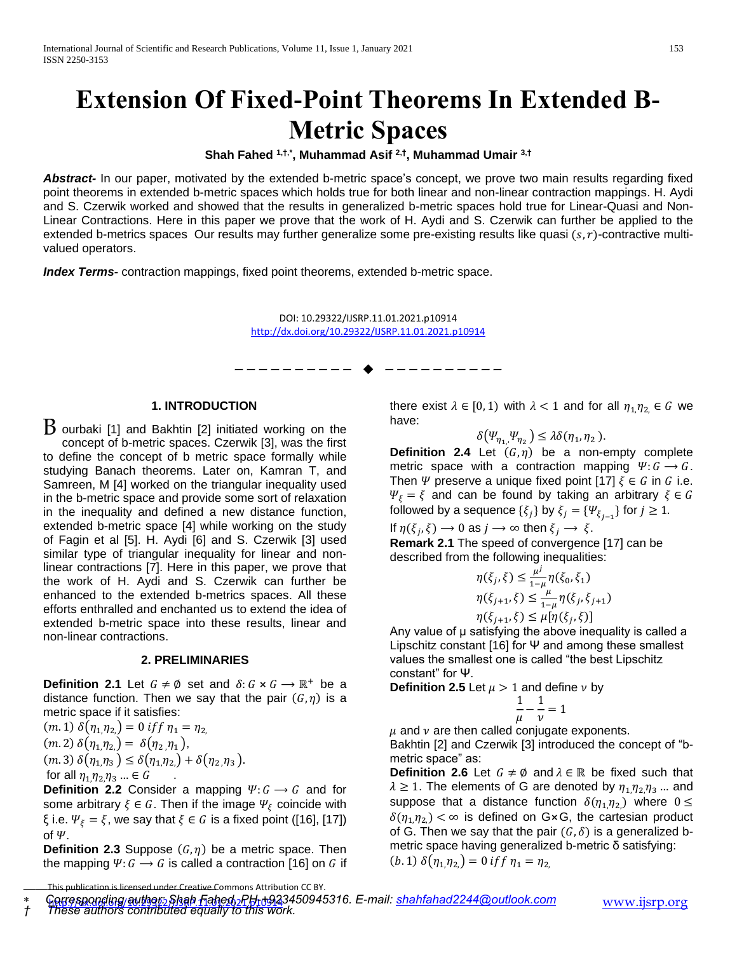# **Extension Of Fixed-Point Theorems In Extended B-Metric Spaces**

**Shah Fahed 1,†,\* , Muhammad Asif 2,† , Muhammad Umair 3,†**

*Abstract-* In our paper, motivated by the extended b-metric space's concept, we prove two main results regarding fixed point theorems in extended b-metric spaces which holds true for both linear and non-linear contraction mappings. H. Aydi and S. Czerwik worked and showed that the results in generalized b-metric spaces hold true for Linear-Quasi and Non-Linear Contractions. Here in this paper we prove that the work of H. Aydi and S. Czerwik can further be applied to the extended b-metrics spaces Our results may further generalize some pre-existing results like quasi  $(s, r)$ -contractive multivalued operators.

*Index Terms-* contraction mappings, fixed point theorems, extended b-metric space.

DOI: 10.29322/IJSRP.11.01.2021.p10914 <http://dx.doi.org/10.29322/IJSRP.11.01.2021.p10914>

—————————— ——————————

#### **1. INTRODUCTION**

 $\overline{B}$  ourbaki [1] and Bakhtin [2] initiated working on the concept of b-metric spaces. Czerwik [3], was the first to define the concept of b metric space formally while studying Banach theorems. Later on, Kamran T, and Samreen, M [4] worked on the triangular inequality used in the b-metric space and provide some sort of relaxation in the inequality and defined a new distance function, extended b-metric space [4] while working on the study of Fagin et al [5]. H. Aydi [6] and S. Czerwik [3] used similar type of triangular inequality for linear and nonlinear contractions [7]. Here in this paper, we prove that the work of H. Aydi and S. Czerwik can further be enhanced to the extended b-metrics spaces. All these efforts enthralled and enchanted us to extend the idea of extended b-metric space into these results, linear and non-linear contractions.

#### **2. PRELIMINARIES**

**Definition 2.1** Let  $G \neq \emptyset$  set and  $\delta: G \times G \rightarrow \mathbb{R}^+$  be a distance function. Then we say that the pair  $(G, \eta)$  is a metric space if it satisfies:

 $(m. 1) \delta(\eta_1, \eta_2) = 0$  if  $f \eta_1 = \eta_2$ ,  $(m. 2) \delta(\eta_1, \eta_2) = \delta(\eta_2, \eta_1),$  $(m. 3) \delta(\eta_1, \eta_3) \leq \delta(\eta_1, \eta_2) + \delta(\eta_2, \eta_3).$ for all  $\eta_1, \eta_2, \eta_3, ... \in G$ 

**Definition 2.2** Consider a mapping  $\Psi: G \to G$  and for some arbitrary  $\xi \in G$ . Then if the image  $\Psi_{\xi}$  coincide with ξ i.e.  $\Psi_{\xi} = \xi$ , we say that  $\xi \in G$  is a fixed point ([16], [17]) of  $\Psi$ .

**Definition 2.3** Suppose  $(G, \eta)$  be a metric space. Then the mapping  $\Psi: G \to G$  is called a contraction [16] on G if there exist  $\lambda \in [0, 1)$  with  $\lambda < 1$  and for all  $\eta_{1, \eta_{2}} \in G$  we have:

 $\delta(\Psi_{\eta_1,\eta_2}) \leq \lambda \delta(\eta_1,\eta_2).$ 

**Definition 2.4** Let  $(G, \eta)$  be a non-empty complete metric space with a contraction mapping  $\Psi: G \to G$ . Then  $\Psi$  preserve a unique fixed point [17]  $\xi \in G$  in G i.e.  $\Psi_{\xi} = \xi$  and can be found by taking an arbitrary  $\xi \in G$ followed by a sequence  $\{\xi_j\}$  by  $\xi_j=\{\Psi_{\xi_{j-1}}\}$  for  $j\geq 1.$ 

If  $\eta(\xi_j, \xi) \to 0$  as  $j \to \infty$  then  $\xi_j \to \xi$ .

**Remark 2.1** The speed of convergence [17] can be described from the following inequalities:

$$
\eta(\xi_j, \xi) \le \frac{\mu^j}{1-\mu} \eta(\xi_0, \xi_1)
$$
  

$$
\eta(\xi_{j+1}, \xi) \le \frac{\mu}{1-\mu} \eta(\xi_j, \xi_{j+1})
$$
  

$$
\eta(\xi_{j+1}, \xi) \le \mu[\eta(\xi_j, \xi)]
$$

Any value of μ satisfying the above inequality is called a Lipschitz constant [16] for Ψ and among these smallest values the smallest one is called "the best Lipschitz constant" for Ψ.

**Definition 2.5** Let  $\mu > 1$  and define  $\nu$  by

$$
\frac{1}{\mu} - \frac{1}{\nu} = 1
$$

 $\mu$  and  $\nu$  are then called conjugate exponents. Bakhtin [2] and Czerwik [3] introduced the concept of "bmetric space" as:

**Definition 2.6** Let  $G \neq \emptyset$  and  $\lambda \in \mathbb{R}$  be fixed such that  $\lambda \geq 1$ . The elements of G are denoted by  $\eta_{1,1}/\eta_{2,1}/\eta_{3}$  ... and suppose that a distance function  $\delta(\eta_1,\eta_2)$  where  $0 \leq$  $\delta(\eta_1,\eta_2) < \infty$  is defined on G×G, the cartesian product of G. Then we say that the pair  $(G, \delta)$  is a generalized bmetric space having generalized b-metric δ satisfying: (b. 1)  $\delta(\eta_1\eta_2) = 0$  if  $\eta_1 = \eta_2$ 

*† These authors contributed equally to this work.*

This publication is licensed under Creative Commons Attribution CC BY.

http://dx.doi.org/10.29322/IJSRP.11.01.2021.p10914 [www.ijsrp.org](http://ijsrp.org/) *[Corresponding author: Shah Fahed, PH-+923](http://dx.doi.org/10.29322/IJSRP.11.01.2021.p10914)450945316. E-mail: [shahfahad2244@outlook.com](mailto:shahfahad2244@outlook.com)*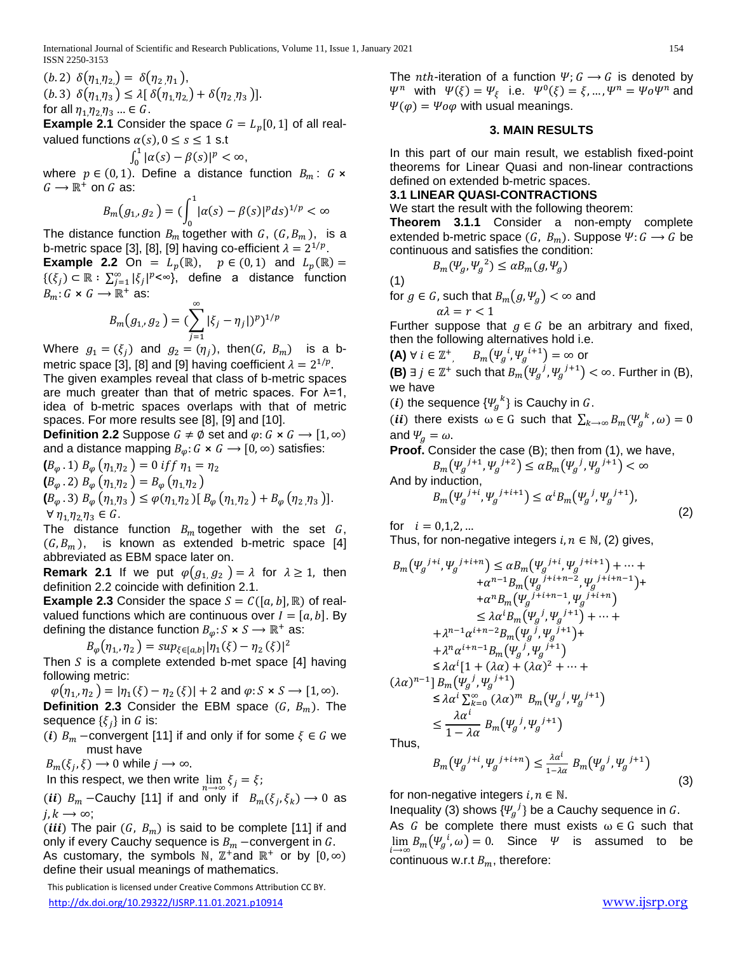(b. 2)  $\delta(\eta_1, \eta_2) = \delta(\eta_2, \eta_1)$ , (b.3)  $\delta(\eta_1,\eta_3) \leq \lambda [\delta(\eta_1,\eta_2) + \delta(\eta_2,\eta_3)]$ . for all  $\eta_1, \eta_2, \eta_3, \ldots \in G$ .

**Example 2.1** Consider the space  $G = L_p[0, 1]$  of all realvalued functions  $\alpha(s)$ ,  $0 \le s \le 1$  s.t

$$
\int_0^1 |\alpha(s) - \beta(s)|^p < \infty,
$$

where  $p \in (0, 1)$ . Define a distance function  $B_m: G \times$  $G \longrightarrow \mathbb{R}^+$  on G as:

$$
B_m(g_{1}, g_2) = (\int_0^1 |\alpha(s) - \beta(s)|^p ds)^{1/p} < \infty
$$

The distance function  $B_m$  together with G,  $(G, B_m)$ , is a b-metric space [3], [8], [9] having co-efficient  $\lambda = 2^{1/p}$ .

**Example 2.2** On =  $L_p(\mathbb{R})$ ,  $p \in (0,1)$  and  $L_p(\mathbb{R})$  =  ${(\xi_j) \subset \mathbb{R} : \sum_{j=1}^{\infty} |\xi_j|^{p} < \infty}$ , define a distance function  $B_m: G \times G \longrightarrow \mathbb{R}^+$  as:

$$
B_m(g_{1}, g_2) = (\sum_{j=1}^{\infty} |\xi_j - \eta_j|)^p)^{1/p}
$$

Where  $g_1 = (\xi_j)$  and  $g_2 = (\eta_j)$ , then(G, B<sub>m</sub>) is a bmetric space [3], [8] and [9] having coefficient  $\lambda = 2^{1/p}$ .

The given examples reveal that class of b-metric spaces are much greater than that of metric spaces. For  $λ=1$ , idea of b-metric spaces overlaps with that of metric spaces. For more results see [8], [9] and [10].

**Definition 2.2** Suppose  $G \neq \emptyset$  set and  $\varphi: G \times G \rightarrow [1, \infty)$ and a distance mapping  $B_{\varphi}$ :  $G \times G \longrightarrow [0, \infty)$  satisfies:

$$
(B_{\varphi}.1) B_{\varphi} (\eta_1, \eta_2) = 0 \text{ if } \eta_1 = \eta_2
$$
  
\n
$$
(B_{\varphi}.2) B_{\varphi} (\eta_1, \eta_2) = B_{\varphi} (\eta_1, \eta_2)
$$
  
\n
$$
(B_{\varphi}.3) B_{\varphi} (\eta_1, \eta_3) \leq \varphi(\eta_1, \eta_2) [B_{\varphi} (\eta_1, \eta_2) + B_{\varphi} (\eta_2, \eta_3)].
$$
  
\n
$$
\forall \eta_1, \eta_2, \eta_3 \in G.
$$

The distance function  $B_m$  together with the set  $G$ ,  $(G, B<sub>m</sub>)$ , is known as extended b-metric space [4] abbreviated as EBM space later on.

**Remark 2.1** If we put  $\varphi(g_1, g_2) = \lambda$  for  $\lambda \ge 1$ , then definition 2.2 coincide with definition 2.1.

**Example 2.3** Consider the space  $S = C([a, b], \mathbb{R})$  of realvalued functions which are continuous over  $I = [a, b]$ . By defining the distance function  $B_{\omega}$ :  $S \times S \rightarrow \mathbb{R}^+$  as:

 $B_{\varphi}(\eta_1, \eta_2) = \sup_{\xi \in [a,b]} |\eta_1(\xi) - \eta_2(\xi)|^2$ 

Then  $S$  is a complete extended b-met space  $[4]$  having following metric:

 $\varphi(\eta_{1,1}, \eta_{2}) = |\eta_{1}(\xi) - \eta_{2}(\xi)| + 2$  and  $\varphi: S \times S \rightarrow [1, \infty)$ . **Definition 2.3** Consider the EBM space  $(G, B_m)$ . The sequence  $\{\xi_j\}$  in  $G$  is:

(i)  $B_m$  –convergent [11] if and only if for some  $\xi \in G$  we must have

$$
B_m(\xi_j,\xi)\longrightarrow 0 \text{ while } j\longrightarrow\infty.
$$

In this respect, we then write  $\lim_{n\to\infty}\xi_j=\xi$ ;

(*ii*)  $B_m$  –Cauchy [11] if and only if  $B_m(\xi_j, \xi_k) \to 0$  as  $j, k \rightarrow \infty;$ 

(*iii*) The pair  $(G, B_m)$  is said to be complete [11] if and only if every Cauchy sequence is  $B_m$  –convergent in G.

As customary, the symbols N,  $\mathbb{Z}^+$  and  $\mathbb{R}^+$  or by  $[0,\infty)$ define their usual meanings of mathematics.

 This publication is licensed under Creative Commons Attribution CC BY. <http://dx.doi.org/10.29322/IJSRP.11.01.2021.p10914> [www.ijsrp.org](http://ijsrp.org/)

The *nth*-iteration of a function  $\Psi$ ;  $G \rightarrow G$  is denoted by  $\Psi^n$  with  $\Psi(\xi) = \Psi_{\xi}$  i.e.  $\Psi^0(\xi) = \xi, ..., \Psi^n = \Psi_0 \Psi^n$  and  $\Psi(\varphi) = \Psi \circ \varphi$  with usual meanings.

#### **3. MAIN RESULTS**

In this part of our main result, we establish fixed-point theorems for Linear Quasi and non-linear contractions defined on extended b-metric spaces.

### **3.1 LINEAR QUASI-CONTRACTIONS**

We start the result with the following theorem:

**Theorem 3.1.1** Consider a non-empty complete extended b-metric space  $(G, B_m)$ . Suppose  $\Psi: G \longrightarrow G$  be continuous and satisfies the condition:

$$
B_m(\Psi_g, \Psi_g^2) \le \alpha B_m(g, \Psi_g)
$$

(1)

for  $g \in G$ , such that  $B_m(g, \Psi_a) < \infty$  and

 $\alpha\lambda = r < 1$ 

Further suppose that  $g \in G$  be an arbitrary and fixed, then the following alternatives hold i.e.

 $(\mathsf{A}) \; \forall \; i \in \mathbb{Z}^+, \quad \mathit{B}_{m}\big(\Psi_{g}^{\; \; i}, \Psi_{g}^{\; \; i+1}\big)=\infty$  or

**(B)** ∃ *j* ∈  $\mathbb{Z}^+$  such that  $B_m(\Psi_g^{j}, \Psi_g^{j+1}) < \infty$ . Further in (B), we have

(*i*) the sequence  $\{W_g^k\}$  is Cauchy in G.

(*ii*) there exists  $\omega \in G$  such that  $\sum_{k \to \infty} B_m(\Psi_g^k, \omega) = 0$ and  $\Psi_q = \omega$ .

**Proof.** Consider the case (B); then from (1), we have,

$$
B_m(\Psi_g^{j+1}, \Psi_g^{j+2}) \le \alpha B_m(\Psi_g^j, \Psi_g^{j+1}) < \infty
$$
  
And by induction,  

$$
B_m(\Psi_g^{j+i}, \Psi_g^{j+i+1}) \le \alpha^i B_m(\Psi_g^j, \Psi_g^{j+1}),
$$

for  $i = 0.1, 2, ...$ 

Thus, for non-negative integers  $i, n \in \mathbb{N}$ , (2) gives,

$$
B_m(\Psi_g^{j+i}, \Psi_g^{j+i+n}) \le \alpha B_m(\Psi_g^{j+i}, \Psi_g^{j+i+1}) + \cdots ++ \alpha^{n-1} B_m(\Psi_g^{j+i+n-2}, \Psi_g^{j+i+n-1}) ++ \alpha^n B_m(\Psi_g^{j+i+n-1}, \Psi_g^{j+i+n}) < \le \lambda \alpha^i B_m(\Psi_g^{j}, \Psi_g^{j+1}) + \cdots ++ \lambda^{n-1} \alpha^{i+n-2} B_m(\Psi_g^{j}, \Psi_g^{j+1}) ++ \lambda^n \alpha^{i+n-1} B_m(\Psi_g^{j}, \Psi_g^{j+1}) < \le \lambda \alpha^i [1 + (\lambda \alpha) + (\lambda \alpha)^2 + \cdots +(\lambda \alpha)^{n-1}] B_m(\Psi_g^{j}, \Psi_g^{j+1}) < \le \lambda \alpha^i \sum_{k=0}^{\infty} (\lambda \alpha)^m B_m(\Psi_g^{j}, \Psi_g^{j+1})  $\le \frac{\lambda \alpha^i}{1 - \lambda \alpha} B_m(\Psi_g^{j}, \Psi_g^{j+1})$
$$

Thus,

$$
B_m(\Psi_g^{j+i}, \Psi_g^{j+i+n}) \le \frac{\lambda a^i}{1-\lambda a} B_m(\Psi_g^{j}, \Psi_g^{j+1})
$$
\n(3)

for non-negative integers  $i, n \in \mathbb{N}$ .

Inequality (3) shows  $\{\Psi_g^{\phantom{g}j}\}$  be a Cauchy sequence in  $G.$ As G be complete there must exists  $\omega \in G$  such that  $\lim_{i \to \infty} B_m(\Psi_g^{i}, \omega) = 0$ . Since  $\Psi$  is assumed to be continuous w.r.t  $B_m$ , therefore:

(2)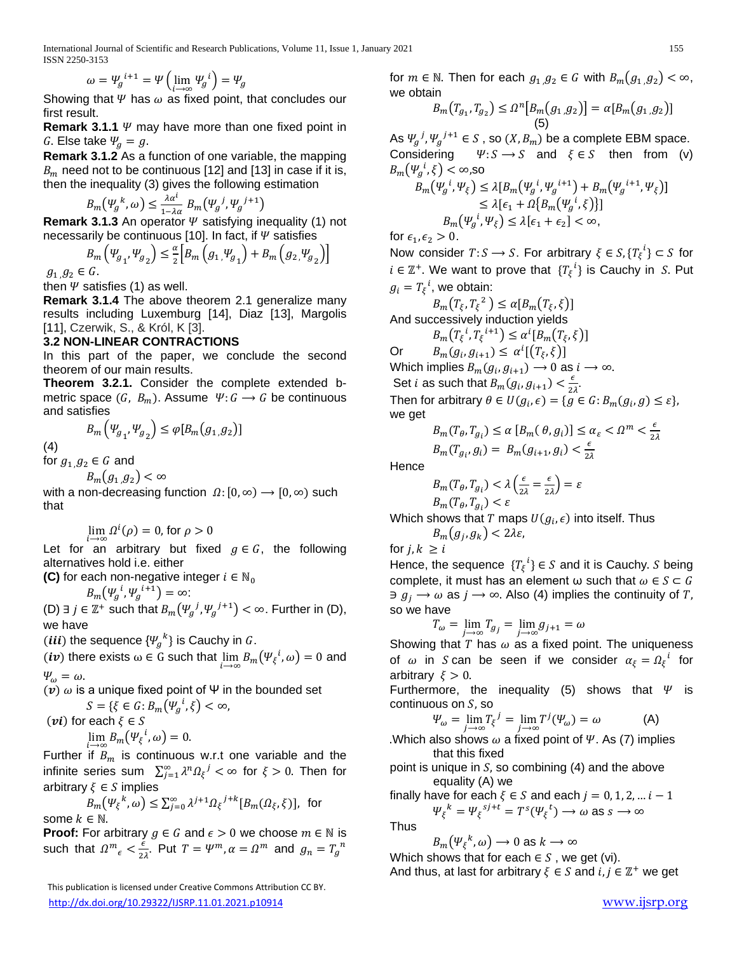$$
\omega = \Psi_g^{i+1} = \Psi\left(\lim_{i \to \infty} \Psi_g^{i}\right) = \Psi_g
$$

Showing that  $\Psi$  has  $\omega$  as fixed point, that concludes our first result.

**Remark 3.1.1**  $\psi$  may have more than one fixed point in G. Else take  $\Psi_q = g$ .

**Remark 3.1.2** As a function of one variable, the mapping  $B_m$  need not to be continuous [12] and [13] in case if it is, then the inequality (3) gives the following estimation

$$
B_m(\Psi_g^k, \omega) \le \frac{\lambda \alpha^i}{1 - \lambda \alpha} B_m(\Psi_g^j, \Psi_g^{j+1})
$$

**Remark 3.1.3** An operator  $\Psi$  satisfying inequality (1) not necessarily be continuous [10]. In fact, if  $\Psi$  satisfies

$$
B_{m}\left(\Psi_{g_{1}},\Psi_{g_{2}}\right) \leq \frac{\alpha}{2} \Big[ B_{m}\left(g_{1},\Psi_{g_{1}}\right) + B_{m}\left(g_{2},\Psi_{g_{2}}\right) \Big]
$$
  

$$
g_{1,}g_{2} \in G.
$$

then  $\Psi$  satisfies (1) as well.

**Remark 3.1.4** The above theorem 2.1 generalize many results including Luxemburg [14], Diaz [13], Margolis [11], Czerwik, S., & Król, K [3].

# **3.2 NON-LINEAR CONTRACTIONS**

In this part of the paper, we conclude the second theorem of our main results.

**Theorem 3.2.1.** Consider the complete extended bmetric space  $(G, B_m)$ . Assume  $\Psi: G \to G$  be continuous and satisfies

$$
B_m\left(\Psi_{g_1},\Psi_{g_2}\right)\leq \varphi[B_m(g_1,g_2)]
$$

(4)

for  $g_1$   $g_2 \in G$  and

 $B_m(g_1, g_2) < \infty$ 

with a non-decreasing function  $\Omega$ :  $[0, \infty) \rightarrow [0, \infty)$  such that

$$
\lim_{h \to 0} \Omega^i(\rho) = 0, \text{ for } \rho > 0
$$

⟶∞ Let for an arbitrary but fixed  $g \in G$ , the following alternatives hold i.e. either

**(C)** for each non-negative integer  $i \in \mathbb{N}_0$ 

$$
B_m(\Psi_g^{i}, \Psi_g^{i+1}) = \infty:
$$

(D) ∃ *j* ∈  $\mathbb{Z}^+$  such that  $B_m(\Psi_g^{j}, \Psi_g^{j+1}) < \infty$ . Further in (D), we have

(*iii*) the sequence  $\{\Psi_{g}^{k}\}\$ is Cauchy in  $G$ .

(*iv*) there exists  $\omega \in G$  such that  $\lim_{i \to \infty} B_m(\Psi_{\xi}^i, \omega) = 0$  and  $\Psi_{\omega} = \omega.$ 

(v)  $ω$  is a unique fixed point of Ψ in the bounded set

$$
S = \{ \xi \in G : B_m(\Psi_g^i, \xi) < \infty, \text{ (vi) for each } \xi \in S \}
$$

$$
\lim_{i \to \infty} B_m(\Psi_{\xi}^i, \omega) = 0.
$$

Further if  $B_m$  is continuous w.r.t one variable and the infinite series sum  $\sum_{j=1}^{\infty} \lambda^n \Omega_{\xi}^j < \infty$  for  $\xi > 0$ . Then for arbitrary  $\xi \in S$  implies

$$
B_m(\Psi_{\xi}^k, \omega) \le \sum_{j=0}^{\infty} \lambda^{j+1} \Omega_{\xi}^{j+k} [B_m(\Omega_{\xi}, \xi)], \text{ for }
$$
some  $k \in \mathbb{N}$ .

**Proof:** For arbitrary  $g \in G$  and  $\epsilon > 0$  we choose  $m \in \mathbb{N}$  is such that  $\Omega^m{}_{\epsilon} < \frac{\epsilon}{2}$  $\frac{\epsilon}{2\lambda}$ . Put  $T = \Psi^m$ ,  $\alpha = \Omega^m$  and  $g_n = T_g^{\,n}$ 

 This publication is licensed under Creative Commons Attribution CC BY. <http://dx.doi.org/10.29322/IJSRP.11.01.2021.p10914> [www.ijsrp.org](http://ijsrp.org/)

for  $m \in \mathbb{N}$ . Then for each  $g_1 g_2 \in G$  with  $B_m(g_1 g_2) < \infty$ , we obtain

$$
B_{m}(T_{g_{1}}, T_{g_{2}}) \leq \Omega^{n}[B_{m}(g_{1}, g_{2})] = \alpha[B_{m}(g_{1}, g_{2})]
$$
\n(5)

As  $\Psi_g^{\ j},\Psi_g^{\ j+1}\in S$  , so  $(X,B_m)$  be a complete EBM space. Considering  $\Psi: S \to S$  and  $\xi \in S$  then from (v)  $B_{m}\big(\Psi_{g}^{\;\;i},\xi\big)<\infty,$ so

$$
B_m(\Psi_g^{i}, \Psi_\xi) \le \lambda [B_m(\Psi_g^{i}, \Psi_g^{i+1}) + B_m(\Psi_g^{i+1}, \Psi_\xi)]
$$
  
\n
$$
\le \lambda [\epsilon_1 + \Omega \{B_m(\Psi_g^{i}, \xi)\}]
$$
  
\n
$$
B_m(\Psi_g^{i}, \Psi_\xi) \le \lambda [\epsilon_1 + \epsilon_2] < \infty,
$$

for  $\epsilon_1, \epsilon_2 > 0$ .

Now consider  $T: S \longrightarrow S$ . For arbitrary  $\xi \in S, \{T_{\xi}^i\} \subset S$  for  $i \in \mathbb{Z}^+$ . We want to prove that  $\{T_{\xi}^i\}$  is Cauchy in S. Put  $g_i = T_{\xi}^{\phantom{1}i}$ , we obtain:

 $B_m(T_\xi, T_\xi^2) \leq \alpha [B_m(T_\xi, \xi)]$ And successively induction yields

 $B_m(T_\xi^i, T_\xi^{i+1}) \leq \alpha^i [B_m(T_\xi, \xi)]$ 

Or  $B_m(g_i, g_{i+1}) \leq \alpha^{i}[(T_{\xi}, \xi)]$ Which implies  $B_m(g_i,g_{i+1})\longrightarrow 0$  as  $i\longrightarrow \infty.$ Set *i* as such that  $B_m(g_i, g_{i+1}) < \frac{\epsilon}{2}$  $rac{\epsilon}{2\lambda}$ . Then for arbitrary  $\theta \in U(g_i, \epsilon) = \{ g \in G : B_m(g_i, g) \leq \epsilon \},\$ we get

$$
B_m(T_\theta, T_{g_i}) \le \alpha \left[ B_m(\theta, g_i) \right] \le \alpha_{\varepsilon} < \Omega^m < \frac{\epsilon}{2\lambda}
$$
  

$$
B_m(T_{g_i}, g_i) = B_m(g_{i+1}, g_i) < \frac{\epsilon}{2\lambda}
$$

**Hence** 

$$
B_m(T_\theta, T_{g_i}) < \lambda \left(\frac{\epsilon}{2\lambda} = \frac{\epsilon}{2\lambda}\right) = \varepsilon
$$
\n
$$
B_m(T_\theta, T_{g_i}) < \varepsilon
$$

Which shows that  $T$  maps  $\mathit{U}(g_i,\epsilon)$  into itself. Thus

$$
B_m(g_j,g_k)<2\lambda\varepsilon,
$$

for  $j, k \geq i$ Hence, the sequence  $\{T_{\xi}^{\ i}\}\in S$  and it is Cauchy. S being complete, it must has an element  $\omega$  such that  $\omega \in S \subset G$  $\exists g_i \rightarrow \omega$  as  $j \rightarrow \infty$ . Also (4) implies the continuity of T, so we have

$$
T_{\omega} = \lim_{j \to \infty} T_{g_j} = \lim_{j \to \infty} g_{j+1} = \omega
$$

Showing that T has  $\omega$  as a fixed point. The uniqueness of  $\omega$  in Scan be seen if we consider  $\alpha_{\xi} = \Omega_{\xi}^{\ i}$  for arbitrary  $\xi > 0$ .

Furthermore, the inequality (5) shows that  $\Psi$  is continuous on  $S$ , so

$$
\Psi_{\omega} = \lim_{j \to \infty} T_{\xi}^{j} = \lim_{j \to \infty} T^{j}(\Psi_{\omega}) = \omega
$$
 (A)

.Which also shows  $\omega$  a fixed point of  $\psi$ . As (7) implies that this fixed

point is unique in  $S$ , so combining (4) and the above equality (A) we

finally have for each  $\xi \in S$  and each  $j = 0, 1, 2, ... i - 1$ t

$$
\Psi_{\xi}^k = \Psi_{\xi}^{sj+t} = T^s(\Psi_{\xi}^t) \longrightarrow \omega \text{ as } s \longrightarrow \infty
$$

Thus

$$
B_m(\Psi_\xi^{\ k},\omega)\to 0 \text{ as } k\to\infty
$$

Which shows that for each  $\in S$ , we get (vi).

And thus, at last for arbitrary  $\xi \in S$  and  $i, j \in \mathbb{Z}^+$  we get